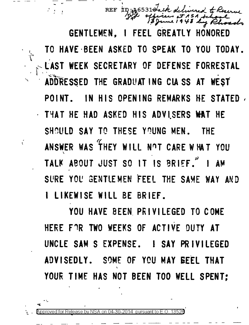REF ID: 44653184 ASA tchool<br>48 huy Rhoads

GENTLEMEN. I FEEL GREATLY HONORED TO HAVE BEEN ASKED TO SPEAK TO YOU TODAY. LAST WEEK SECRETARY OF DEFENSE FORRESTAL ADDRESSED THE GRADUATING CLASS AT WEST IN HIS OPENING REMARKS HE STATED. POINT. THAT HE HAD ASKED HIS ADVISERS WAT HE SHOULD SAY TO THESE YOUNG MEN. THE ANSWER WAS THEY WILL NOT CARE WHAT YOU TALK ABOUT JUST SO IT IS BRIEF." I AM SURE YOU GENTLEMEN FEEL THE SAME WAY AND I LIKEWISE WILL BE BRIEF.

YOU HAVE BEEN PRIVILEGED TO COME HERE FOR TWO WEEKS OF ACTIVE DUTY AT UNCLE SAM S EXPENSE. I SAY PRIVILEGED ADVISEDLY. SOME OF YOU MAY BEEL THAT YOUR TIME HAS NOT BEEN TOO WELL SPENT:

ť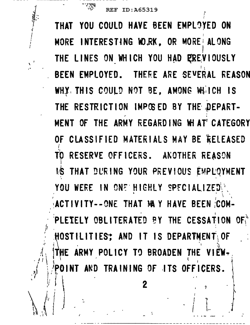I

 $\cdots$  .  $\cdots$ 

 $\ddot{\cdot}$ 

' THAT YOU COULD HAYE BEEN EMPL~JED ON MORE INTERESTING WORK, OR MORE ALONG I THE LINES ON WHICH YOU HAD REEVIOUSLY  $\mathbf{f}$ BEEN EMPLOYED. THERE ARE SEVERAL REASON WHY. THIS COULD NOT BE, AMONG WHICH IS THE RESTRICTION IMPCSED BY THE DEPART-. ,.. MENT OF THE ARMY REGARDING WI AT CATEGORY OF CLASSIFIED MATERIALS MAY BE RELEASED I TO RESERVE OFFICERS. ANOTHER REASON IS THAT DURING YOUR PREVIOUS EMPLOYMENT YOU WERE IN ONE HIGHLY SPECIALIZED ... I ACTIVITY--ONE THAT MAY HAVE BEEN COM-• • I PLETELY OBLITERATED BY THE CESSATION OF,  $\hat{J}$ <sup>1</sup>  $\rightarrow$  '  $\cdot$   $\cdot$  HOSTILITIES; AND IT IS DEPARTMENT OF  $\cdot$  $\dot{\theta}$  . If  $\dot{\theta}$  is a set of  $\dot{\theta}$  is a set of  $\dot{\theta}$  . In the  $\dot{\theta}$  ,  $\dot{\theta}$ THE ARMY POLICY TO BROADEN THE VIEW-POINT AND TRAINING OF ITS OFFICERS.  $\mathcal{F} = \left\{ \begin{matrix} \hat{T} & \hat{T} \\ \hat{T} & \hat{T} \end{matrix} \right\}$ 

 $\begin{array}{ccc} \mathbb{R} & \mathbb{R} & \mathbb{R} & \mathbb{R} & \mathbb{R} & \mathbb{R} & \mathbb{R} & \mathbb{R} & \mathbb{R} & \mathbb{R} & \mathbb{R} & \mathbb{R} & \mathbb{R} & \mathbb{R} & \mathbb{R} & \mathbb{R} & \mathbb{R} & \mathbb{R} & \mathbb{R} & \mathbb{R} & \mathbb{R} & \mathbb{R} & \mathbb{R} & \mathbb{R} & \mathbb{R} & \mathbb{R} & \mathbb{R} & \mathbb{R} & \mathbb{R} & \mathbb{R} & \mathbb$ 

, if  $\{1, 1, 1\}$  is a set of interval in the interval interval interval in  $\{1, 1, 1\}$  $\oint_{\mathcal{F}} \left\{ \begin{array}{ccc} 1 & 1 & 1 \\ 1 & 1 & 1 \end{array} \right.$ 

 $\mathbb{R}^d \cup \mathbb{R}^d$  . The property of  $\mathbb{R}^d$ 

- -----------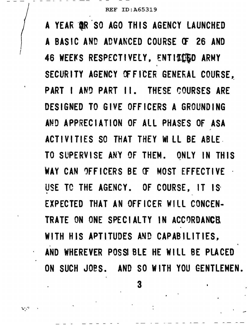I I *!*  I

 $\mathbf{q} \in \mathcal{I}$ 

A YEAR OR SO AGO THIS AGENCY LAUNCHED A BASIC AND ADVANCED COURSE OF 26 AND 46 WEEKS RESPECTIVELY, ENTITIED ARMY SECURITY AGENCY OF FICER GENERAL COURSE, PART I AND PART II. THESE COURSES ARE DESIGNED TO GIVE OFFICERS A GROUNDING AND APPRECIATION OF ALL PHASES OF ASA ACTIVITIES SO THAT THEY M LL BE ABLE. TO SUPERVISE ANY OF THEM. ONLY IN THIS WAY CAN OFFICERS BE CF MOST EFFECTIVE USE TO THE AGENCY. OF COURSE, IT IS EXPECTED THAT AN OFFICER Will CONCEN-TRATE ON ONE SPECIALTY IN ACCORDANCE WITH HIS APTITUDES AND CAPABILITIES, · AND WHEREVER POSS BLE HE Will BE PLACED ON SUCH JOes. AND so WITH YOU GENTLEMEN.

3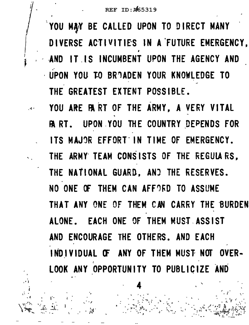YOU MAY BE CALLED UPON TO DIRECT MANY DIVERSE ACTIVITIES IN A FUTURE EMERGENCY, AND IT IS INCUMBENT UPON THE AGENCY AND UPON YOU TO BROADEN YOUR KNOWLEDGE TO THE GREATEST EXTENT POSSIBLE.

YOU ARE PART OF THE ARMY, A VERY VITAL **ART. UPON YOU THE COUNTRY DEPENDS FOR** ITS MAJOR EFFORT IN TIME OF EMERGENCY. THE ARMY TEAM CONSISTS OF THE REGULARS, THE NATIONAL GUARD, AND THE RESERVES. NO ONE OF THEM CAN AFFORD TO ASSUME THAT ANY ONE OF THEM CAN CARRY THE BURDEN ALONE. EACH ONE OF THEM MUST ASSIST AND ENCOURAGE THE OTHERS. AND EACH INDIVIDUAL OF ANY OF THEM MUST NOT OVER-LOOK ANY OPPORTUNITY TO PUBLICIZE AND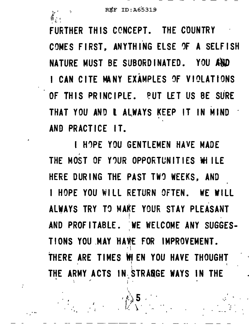FURTHER THIS CONCEPT. THE COUNTRY COMES FIRST, ANYTHING ELSE OF A SELFISH NATURE MUST BE SUBORDINATED. YOU AND I CAN CITE MANY EXAMPLES OF VIOLATIONS OF THIS PRINCIPLE. PUT LET US BE SURE THAT YOU AND L ALWAYS KEEP IT IN MIND AND PRACTICE IT.

I HOPE YOU GENTLEMEN HAVE MADE THE MOST OF YOUR OPPORTUNITIES WILLE HERE DURING THE PAST TWO WEEKS, AND I HOPE YOU WILL RETURN OFTEN. WE WILL ALWAYS TRY TO MAKE YOUR STAY PLEASANT AND PROFITABLE. WE WELCOME ANY SUGGES-TIONS YOU MAY HAVE FOR IMPROVEMENT. THERE ARE TIMES WE EN YOU HAVE THOUGHT THE ARMY ACTS IN STRANGE WAYS IN THE

 $\binom{1}{k}$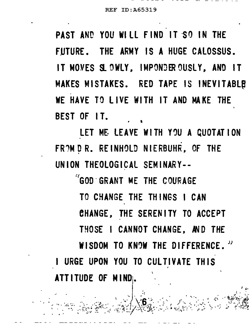PAST AND YOU WILL FIND IT SO IN THE FUTURE. THE ARMY IS A HUGE CALOSSUS. IT MOVES SLOWLY, IMPONDER OUSLY, AND IT MAKES MISTAKES. RED TAPE IS INEVITABLE WE HAVE TO LIVE WITH IT AND MAKE THE BEST OF IT.

LET ME LEAVE WITH YOU A QUOTATION FROM D R. REINHOLD NIERBUHR, OF THE UNION THEOLOGICAL SEMINARY--

"GOD GRANT ME THE COURAGE TO CHANGE THE THINGS I CAN CHANGE, THE SERENITY TO ACCEPT THOSE I CANNOT CHANGE, AND THE WISDOM TO KNOW THE DIFFERENCE." I URGE UPON YOU TO CULTIVATE THIS ATTITUDE OF MIND.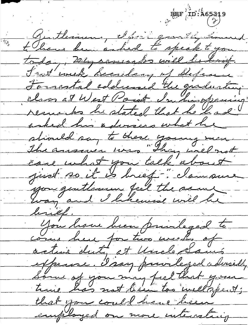$\frac{1}{2}$ FEF  $\left(\frac{1}{2}\right)^3$ Guitherinen, Short grantly Count  $\overline{\gamma_{\rm A}}$ to liane been asked to speak to you today, myrosessalos will be brief. Frost week becachary of Defence Formatal addressed the graduating class at West Coint In his opening resamento he stated that he had asked his advisers what he stiviled say to these young men. care what you talk about you quittenun feel the same way and I likewise will be <u>linef.</u> Gow have been privileged to come here for two weeks of active duty at Uncle Sams expense. Isay privileged advisedly Some of you may feel that your time has not been too well spent; that you could have here employed on more interacting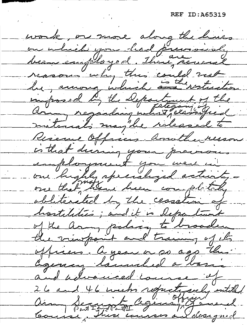work, or more along the hues on ulich you had previously been employed. There revered reasons why this could not be, among which and restriction imposed by the Department of the aring regarding what , clarified materials may be released to Riseau Officers, amitter resson is that during your previous employment you were un our highly specialized activityobliterated by the cessation of hostilities; and it is department of the army policy to broaden the vicepoint and training of its officers. A year or so ago this agency towntiel a toni and helvanced course of 26 and 46 weeks refuctionly entitled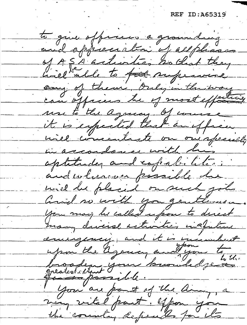to que officers a grounding and appreciation of allphases of ASA articles hollat they hiel able to fit supervice can of them, Only in the way can officers be of most effectively use to the agency. of course it is expected that an effice will concentrate on one specially in accordance with his aptitudes and copalictions and wherever possible he will be placed on such jobs and no with you gentlemen you may be called upon to direct many during activities instructive anisagement, and it is incumbent upon the agency and you to broaden jour knowledge you are part of the army, a many withel part. ypon you the country definals for its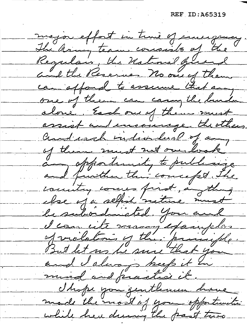major effort in true of envergence The aring team consists of the Regular, the Ustinial guerral and the Reserves. No one of them can offord to assume that any one of them can canny the build alone. Each our of them must assist and incominge the others. and each individual of any of them must not overlook any opportunity to publicize and further this concept. The country comes first, anything clase of a selfish scattine must le subordinated. Gove and d'can cite manjegaigeles of vilations of the principle. But let no be sure that you and I always keep it in mind and practice it. I hope you gentlemen home made the most of you opportunities while here during the past two